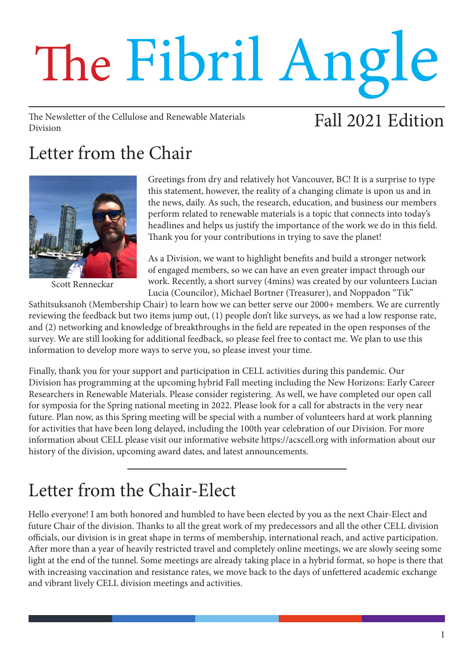# The Fibril Angle

The Newsletter of the Cellulose and Renewable Materials Division

# Fall 2021 Edition

# Letter from the Chair



Scott Renneckar

Greetings from dry and relatively hot Vancouver, BC! It is a surprise to type this statement, however, the reality of a changing climate is upon us and in the news, daily. As such, the research, education, and business our members perform related to renewable materials is a topic that connects into today's headlines and helps us justify the importance of the work we do in this field. Thank you for your contributions in trying to save the planet!

As a Division, we want to highlight benefits and build a stronger network of engaged members, so we can have an even greater impact through our work. Recently, a short survey (4mins) was created by our volunteers Lucian Lucia (Councilor), Michael Bortner (Treasurer), and Noppadon "Tik"

Sathitsuksanoh (Membership Chair) to learn how we can better serve our 2000+ members. We are currently reviewing the feedback but two items jump out, (1) people don't like surveys, as we had a low response rate, and (2) networking and knowledge of breakthroughs in the field are repeated in the open responses of the survey. We are still looking for additional feedback, so please feel free to contact me. We plan to use this information to develop more ways to serve you, so please invest your time.

Finally, thank you for your support and participation in CELL activities during this pandemic. Our Division has programming at the upcoming hybrid Fall meeting including the New Horizons: Early Career Researchers in Renewable Materials. Please consider registering. As well, we have completed our open call for symposia for the Spring national meeting in 2022. Please look for a call for abstracts in the very near future. Plan now, as this Spring meeting will be special with a number of volunteers hard at work planning for activities that have been long delayed, including the 100th year celebration of our Division. For more information about CELL please visit our informative website https://acscell.org with information about our history of the division, upcoming award dates, and latest announcements.

# Letter from the Chair-Elect

Hello everyone! I am both honored and humbled to have been elected by you as the next Chair-Elect and future Chair of the division. Thanks to all the great work of my predecessors and all the other CELL division officials, our division is in great shape in terms of membership, international reach, and active participation. After more than a year of heavily restricted travel and completely online meetings, we are slowly seeing some light at the end of the tunnel. Some meetings are already taking place in a hybrid format, so hope is there that with increasing vaccination and resistance rates, we move back to the days of unfettered academic exchange and vibrant lively CELL division meetings and activities.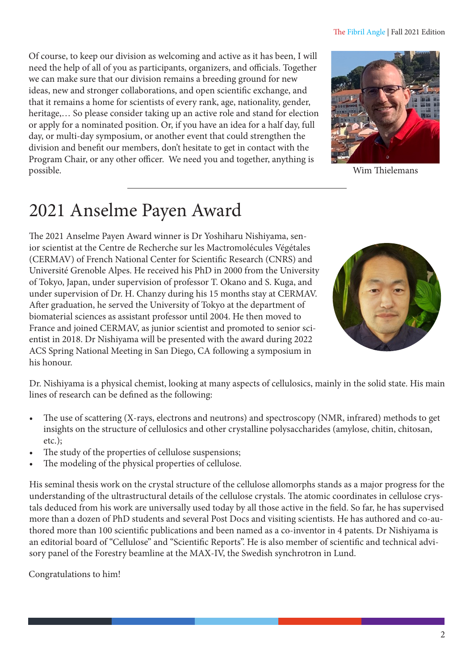#### The Fibril Angle | Fall 2021 Edition

Of course, to keep our division as welcoming and active as it has been, I will need the help of all of you as participants, organizers, and officials. Together we can make sure that our division remains a breeding ground for new ideas, new and stronger collaborations, and open scientific exchange, and that it remains a home for scientists of every rank, age, nationality, gender, heritage,… So please consider taking up an active role and stand for election or apply for a nominated position. Or, if you have an idea for a half day, full day, or multi-day symposium, or another event that could strengthen the division and benefit our members, don't hesitate to get in contact with the Program Chair, or any other officer. We need you and together, anything is possible. Wim Thielemans



## 2021 Anselme Payen Award

The 2021 Anselme Payen Award winner is Dr Yoshiharu Nishiyama, senior scientist at the Centre de Recherche sur les Mactromolécules Végétales (CERMAV) of French National Center for Scientific Research (CNRS) and Université Grenoble Alpes. He received his PhD in 2000 from the University of Tokyo, Japan, under supervision of professor T. Okano and S. Kuga, and under supervision of Dr. H. Chanzy during his 15 months stay at CERMAV. After graduation, he served the University of Tokyo at the department of biomaterial sciences as assistant professor until 2004. He then moved to France and joined CERMAV, as junior scientist and promoted to senior scientist in 2018. Dr Nishiyama will be presented with the award during 2022 ACS Spring National Meeting in San Diego, CA following a symposium in his honour.



Dr. Nishiyama is a physical chemist, looking at many aspects of cellulosics, mainly in the solid state. His main lines of research can be defined as the following:

- The use of scattering (X-rays, electrons and neutrons) and spectroscopy (NMR, infrared) methods to get insights on the structure of cellulosics and other crystalline polysaccharides (amylose, chitin, chitosan, etc.);
- The study of the properties of cellulose suspensions;
- The modeling of the physical properties of cellulose.

His seminal thesis work on the crystal structure of the cellulose allomorphs stands as a major progress for the understanding of the ultrastructural details of the cellulose crystals. The atomic coordinates in cellulose crystals deduced from his work are universally used today by all those active in the field. So far, he has supervised more than a dozen of PhD students and several Post Docs and visiting scientists. He has authored and co-authored more than 100 scientific publications and been named as a co-inventor in 4 patents. Dr Nishiyama is an editorial board of "Cellulose" and "Scientific Reports". He is also member of scientific and technical advisory panel of the Forestry beamline at the MAX-IV, the Swedish synchrotron in Lund.

#### Congratulations to him!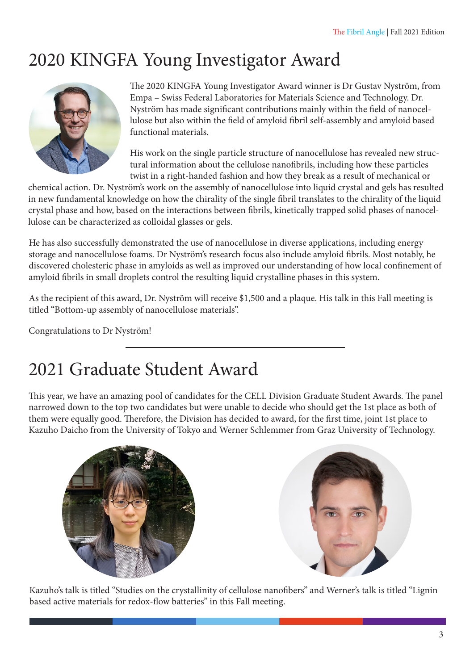# 2020 KINGFA Young Investigator Award



The 2020 KINGFA Young Investigator Award winner is Dr Gustav Nyström, from Empa – Swiss Federal Laboratories for Materials Science and Technology. Dr. Nyström has made significant contributions mainly within the field of nanocellulose but also within the field of amyloid fibril self-assembly and amyloid based functional materials.

His work on the single particle structure of nanocellulose has revealed new structural information about the cellulose nanofibrils, including how these particles twist in a right-handed fashion and how they break as a result of mechanical or

chemical action. Dr. Nyström's work on the assembly of nanocellulose into liquid crystal and gels has resulted in new fundamental knowledge on how the chirality of the single fibril translates to the chirality of the liquid crystal phase and how, based on the interactions between fibrils, kinetically trapped solid phases of nanocellulose can be characterized as colloidal glasses or gels.

He has also successfully demonstrated the use of nanocellulose in diverse applications, including energy storage and nanocellulose foams. Dr Nyström's research focus also include amyloid fibrils. Most notably, he discovered cholesteric phase in amyloids as well as improved our understanding of how local confinement of amyloid fibrils in small droplets control the resulting liquid crystalline phases in this system.

As the recipient of this award, Dr. Nyström will receive \$1,500 and a plaque. His talk in this Fall meeting is titled "Bottom-up assembly of nanocellulose materials".

Congratulations to Dr Nyström!

## 2021 Graduate Student Award

This year, we have an amazing pool of candidates for the CELL Division Graduate Student Awards. The panel narrowed down to the top two candidates but were unable to decide who should get the 1st place as both of them were equally good. Therefore, the Division has decided to award, for the first time, joint 1st place to Kazuho Daicho from the University of Tokyo and Werner Schlemmer from Graz University of Technology.





Kazuho's talk is titled "Studies on the crystallinity of cellulose nanofibers" and Werner's talk is titled "Lignin based active materials for redox-flow batteries" in this Fall meeting.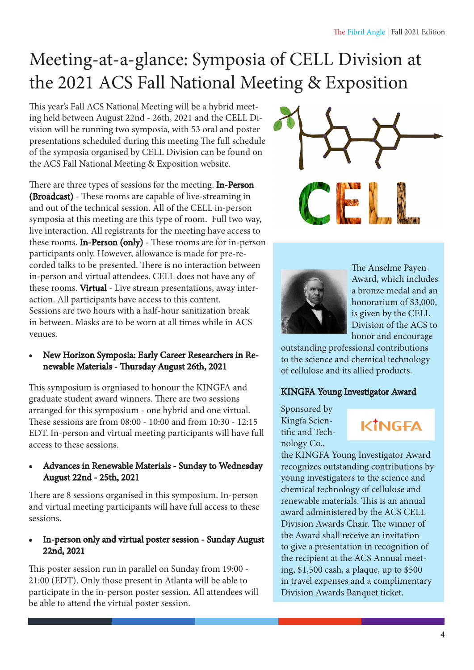# Meeting-at-a-glance: Symposia of CELL Division at the 2021 ACS Fall National Meeting & Exposition

This year's Fall ACS National Meeting will be a hybrid meeting held between August 22nd - 26th, 2021 and the CELL Division will be running two symposia, with 53 oral and poster presentations scheduled during this meeting The full schedule of the symposia organised by CELL Division can be found on the ACS Fall National Meeting & Exposition website.

There are three types of sessions for the meeting. In-Person (Broadcast) - These rooms are capable of live-streaming in and out of the technical session. All of the CELL in-person symposia at this meeting are this type of room. Full two way, live interaction. All registrants for the meeting have access to these rooms. In-Person (only) - These rooms are for in-person participants only. However, allowance is made for pre-recorded talks to be presented. There is no interaction between in-person and virtual attendees. CELL does not have any of these rooms. Virtual - Live stream presentations, away interaction. All participants have access to this content. Sessions are two hours with a half-hour sanitization break in between. Masks are to be worn at all times while in ACS venues.

• New Horizon Symposia: Early Career Researchers in Renewable Materials - Thursday August 26th, 2021

This symposium is orgniased to honour the KINGFA and graduate student award winners. There are two sessions arranged for this symposium - one hybrid and one virtual. These sessions are from 08:00 - 10:00 and from 10:30 - 12:15 EDT. In-person and virtual meeting participants will have full access to these sessions.

• Advances in Renewable Materials - Sunday to Wednesday August 22nd - 25th, 2021

There are 8 sessions organised in this symposium. In-person and virtual meeting participants will have full access to these sessions.

### • In-person only and virtual poster session - Sunday August 22nd, 2021

This poster session run in parallel on Sunday from 19:00 - 21:00 (EDT). Only those present in Atlanta will be able to participate in the in-person poster session. All attendees will be able to attend the virtual poster session.





The Anselme Payen Award, which includes a bronze medal and an honorarium of \$3,000, is given by the CELL Division of the ACS to honor and encourage

outstanding professional contributions to the science and chemical technology of cellulose and its allied products.

### KINGFA Young Investigator Award

Sponsored by Kingfa Scientific and Technology Co.,

## KİNGEA

the KINGFA Young Investigator Award recognizes outstanding contributions by young investigators to the science and chemical technology of cellulose and renewable materials. This is an annual award administered by the ACS CELL Division Awards Chair. The winner of the Award shall receive an invitation to give a presentation in recognition of the recipient at the ACS Annual meeting, \$1,500 cash, a plaque, up to \$500 in travel expenses and a complimentary Division Awards Banquet ticket.